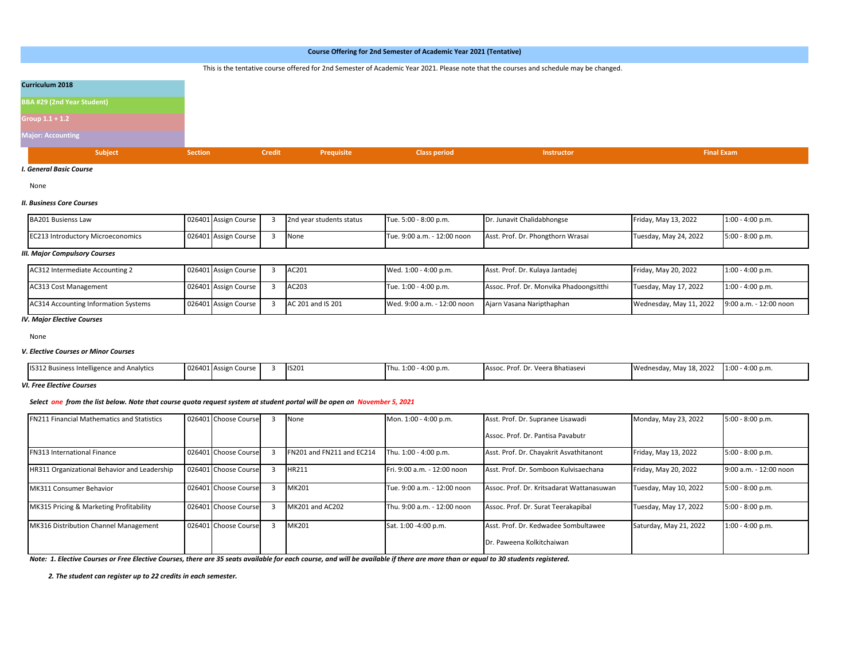|                                   |                                 |            | Course Offering for 2nd Semester of Academic Year 2021 (Tentative)                                                                     |                   |                   |
|-----------------------------------|---------------------------------|------------|----------------------------------------------------------------------------------------------------------------------------------------|-------------------|-------------------|
|                                   |                                 |            | This is the tentative course offered for 2nd Semester of Academic Year 2021. Please note that the courses and schedule may be changed. |                   |                   |
| Curriculum 2018                   |                                 |            |                                                                                                                                        |                   |                   |
| <b>BBA #29 (2nd Year Student)</b> |                                 |            |                                                                                                                                        |                   |                   |
| Group $1.1 + 1.2$                 |                                 |            |                                                                                                                                        |                   |                   |
| <b>Major: Accounting</b>          |                                 |            |                                                                                                                                        |                   |                   |
| <b>Subject</b>                    | <b>Credit</b><br><b>Section</b> | Prequisite | <b>Class period</b>                                                                                                                    | <b>Instructor</b> | <b>Final Exam</b> |

*I. General Basic Course*

None

## *II. Business Core Courses*

| <b>BA201 Busienss Law</b>                | 026401 Assign Course | 2nd year students status | Tue. 5:00 - 8:00 p.m.       | Dr. Junavit Chalidabhongse        | Friday, May 13, 2022  | $1:00 - 4:00 p.m.$ |
|------------------------------------------|----------------------|--------------------------|-----------------------------|-----------------------------------|-----------------------|--------------------|
| <b>EC213 Introductory Microeconomics</b> | 026401 Assign Course | None                     | Tue. 9:00 a.m. - 12:00 noon | Asst. Prof. Dr. Phongthorn Wrasai | Tuesday, May 24, 2022 | $5:00 - 8:00 p.m.$ |

#### *III. Major Compulsory Courses*

| AC312 Intermediate Accounting 2             | 026401 Assign Course | AC201             | Wed. 1:00 - 4:00 p.m.       | Asst. Prof. Dr. Kulaya Jantadej         | Friday, May 20, 2022    | $1:00 - 4:00 p.m.$     |
|---------------------------------------------|----------------------|-------------------|-----------------------------|-----------------------------------------|-------------------------|------------------------|
| <b>AC313 Cost Management</b>                | 026401 Assign Course | AC203             | Tue. 1:00 - 4:00 p.m.       | Assoc. Prof. Dr. Monvika Phadoongsitthi | Tuesday, May 17, 2022   | $1:00 - 4:00 p.m.$     |
| <b>AC314 Accounting Information Systems</b> | 026401 Assign Course | AC 201 and IS 201 | Wed. 9:00 a.m. - 12:00 noon | Ajarn Vasana Naripthaphan               | Wednesday, May 11, 2022 | 9:00 a.m. - 12:00 noon |

## *IV. Major Elective Courses*

None

## *V. Elective Courses or Minor Courses*

| Wednesday, May 18, 2022<br>IS201<br>$1:00 - 4:00 p.m.$<br>026401 Assign<br>IS312 Business Intelligence and Analytics<br>$\sim$<br>$^{\circ}$ - 4:00 p.n.<br>. Veera Bhatiasevi<br>Assoc.<br>DrC'<br>າ Course i<br>. |  |
|---------------------------------------------------------------------------------------------------------------------------------------------------------------------------------------------------------------------|--|
|---------------------------------------------------------------------------------------------------------------------------------------------------------------------------------------------------------------------|--|

*VI. Free Elective Courses* 

## *Select one from the list below. Note that course quota request system at student portal will be open on November 5, 2021*

| <b>FN211 Financial Mathematics and Statistics</b> | 026401 Choose Course | None                      | Mon. 1:00 - 4:00 p.m.       | Asst. Prof. Dr. Supranee Lisawadi         | Monday, May 23, 2022   | $5:00 - 8:00 p.m.$     |
|---------------------------------------------------|----------------------|---------------------------|-----------------------------|-------------------------------------------|------------------------|------------------------|
|                                                   |                      |                           |                             | Assoc. Prof. Dr. Pantisa Pavabutr         |                        |                        |
| <b>FN313 International Finance</b>                | 026401 Choose Course | FN201 and FN211 and EC214 | Thu. 1:00 - 4:00 p.m.       | Asst. Prof. Dr. Chayakrit Asvathitanont   | Friday, May 13, 2022   | $5:00 - 8:00 p.m.$     |
| HR311 Organizational Behavior and Leadership      | 026401 Choose Course | HR211                     | Fri. 9:00 a.m. - 12:00 noon | Asst. Prof. Dr. Somboon Kulvisaechana     | Friday, May 20, 2022   | 9:00 a.m. - 12:00 noon |
| MK311 Consumer Behavior                           | 026401 Choose Course | <b>MK201</b>              | Tue. 9:00 a.m. - 12:00 noon | Assoc. Prof. Dr. Kritsadarat Wattanasuwan | Tuesday, May 10, 2022  | $5:00 - 8:00 p.m.$     |
| MK315 Pricing & Marketing Profitability           | 026401 Choose Course | MK201 and AC202           | Thu. 9:00 a.m. - 12:00 noon | Assoc. Prof. Dr. Surat Teerakapibal       | Tuesday, May 17, 2022  | $5:00 - 8:00 p.m.$     |
| MK316 Distribution Channel Management             | 026401 Choose Course | MK201                     | Sat. 1:00 -4:00 p.m.        | Asst. Prof. Dr. Kedwadee Sombultawee      | Saturday, May 21, 2022 | $1:00 - 4:00 p.m.$     |
|                                                   |                      |                           |                             | Dr. Paweena Kolkitchaiwan                 |                        |                        |

*Note: 1. Elective Courses or Free Elective Courses, there are 35 seats available for each course, and will be available if there are more than or equal to 30 students registered.*

 *2. The student can register up to 22 credits in each semester.*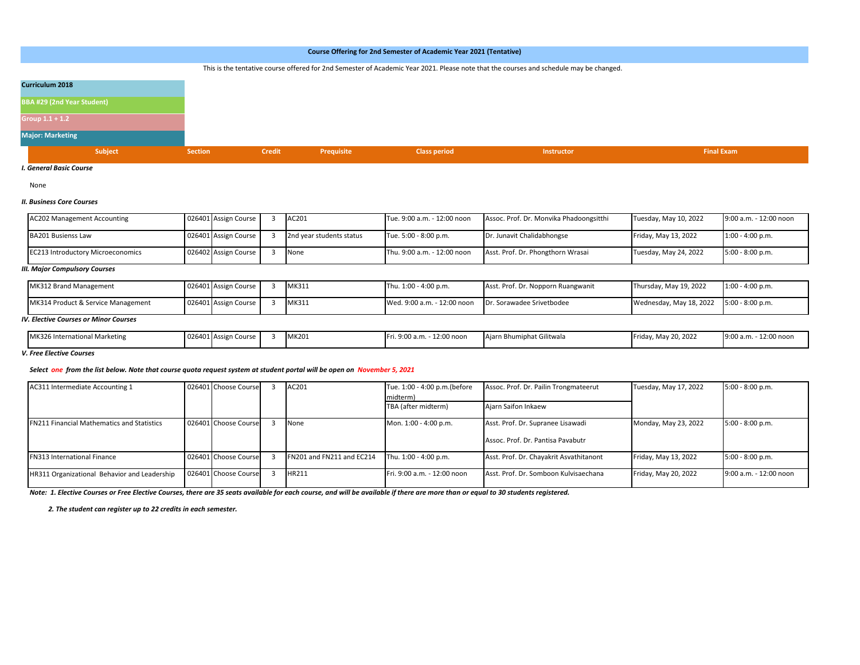|                                   |                                                                                                                                        |               |            | Course Offering for 2nd Semester of Academic Year 2021 (Tentative) |                   |                   |  |  |  |  |  |  |  |  |  |
|-----------------------------------|----------------------------------------------------------------------------------------------------------------------------------------|---------------|------------|--------------------------------------------------------------------|-------------------|-------------------|--|--|--|--|--|--|--|--|--|
|                                   | This is the tentative course offered for 2nd Semester of Academic Year 2021. Please note that the courses and schedule may be changed. |               |            |                                                                    |                   |                   |  |  |  |  |  |  |  |  |  |
| <b>Curriculum 2018</b>            |                                                                                                                                        |               |            |                                                                    |                   |                   |  |  |  |  |  |  |  |  |  |
| <b>BBA #29 (2nd Year Student)</b> |                                                                                                                                        |               |            |                                                                    |                   |                   |  |  |  |  |  |  |  |  |  |
| Group $1.1 + 1.2$                 |                                                                                                                                        |               |            |                                                                    |                   |                   |  |  |  |  |  |  |  |  |  |
| <b>Major: Marketing</b>           |                                                                                                                                        |               |            |                                                                    |                   |                   |  |  |  |  |  |  |  |  |  |
| Subject                           | <b>Section</b>                                                                                                                         | <b>Credit</b> | Prequisite | <b>Class period</b>                                                | <b>Instructor</b> | <b>Final Exam</b> |  |  |  |  |  |  |  |  |  |

*I. General Basic Course*

None

## *II. Business Core Courses*

| <b>AC202 Management Accounting</b>       | 026401 Assign Course | AC201                    | Tue. 9:00 a.m. - 12:00 noon | Assoc. Prof. Dr. Monvika Phadoongsitthi | Tuesday, May 10, 2022 | 9:00 a.m. - 12:00 noon |
|------------------------------------------|----------------------|--------------------------|-----------------------------|-----------------------------------------|-----------------------|------------------------|
| <b>BA201 Busienss Law</b>                | 026401 Assign Course | 2nd year students status | Tue. 5:00 - 8:00 p.m.       | Dr. Junavit Chalidabhongse              | Friday, May 13, 2022  | $1:00 - 4:00 p.m.$     |
| <b>EC213 Introductory Microeconomics</b> | 026402 Assign Course | None                     | Thu. 9:00 a.m. - 12:00 noon | Asst. Prof. Dr. Phongthorn Wrasai       | Tuesday, May 24, 2022 | $5:00 - 8:00 p.m.$     |

## *III. Major Compulsory Courses*

| MK312 Brand Management             | 026401 Assign Course | MK311 | Thu. 1:00 - 4:00 p.m.                                 | Asst. Prof. Dr. Nopporn Ruangwanit | Thursday, May 19, 2022                   | $1:00 - 4:00 p.m.$ |
|------------------------------------|----------------------|-------|-------------------------------------------------------|------------------------------------|------------------------------------------|--------------------|
| MK314 Product & Service Management | 026401 Assign Course | MK311 | Wed. 9:00 a.m. - 12:00 noon Dr. Sorawadee Srivetbodee |                                    | Wednesday, May 18, 2022 5:00 - 8:00 p.m. |                    |

#### *IV. Elective Courses or Minor Courses*

| MK326 International Marketing | 026401 Assign | . Course | MK201 | . 9:00 a.m.<br>12:00 noor | Aiarn Bhumiphat Gilitwala | Friday, May 20, 2022 | 12:00 noo<br>9:00 a.m. |
|-------------------------------|---------------|----------|-------|---------------------------|---------------------------|----------------------|------------------------|

## *V. Free Elective Courses*

## *Select one from the list below. Note that course quota request system at student portal will be open on November 5, 2021*

| AC311 Intermediate Accounting 1                   | 026401 Choose Course | AC201                     | Tue. 1:00 - 4:00 p.m. (before<br>midterm) | Assoc. Prof. Dr. Pailin Trongmateerut   | Tuesday, May 17, 2022 | $5:00 - 8:00 p.m.$     |
|---------------------------------------------------|----------------------|---------------------------|-------------------------------------------|-----------------------------------------|-----------------------|------------------------|
|                                                   |                      |                           | TBA (after midterm)                       | Aiarn Saifon Inkaew                     |                       |                        |
| <b>FN211 Financial Mathematics and Statistics</b> | 026401 Choose Course | None                      | Mon. 1:00 - 4:00 p.m.                     | Asst. Prof. Dr. Supranee Lisawadi       | Monday, May 23, 2022  | $5:00 - 8:00 p.m.$     |
|                                                   |                      |                           |                                           | Assoc. Prof. Dr. Pantisa Pavabutr       |                       |                        |
| <b>FN313 International Finance</b>                | 026401 Choose Course | FN201 and FN211 and EC214 | Thu. 1:00 - 4:00 p.m.                     | Asst. Prof. Dr. Chayakrit Asvathitanont | Friday, May 13, 2022  | $5:00 - 8:00 p.m.$     |
| HR311 Organizational Behavior and Leadership      | 026401 Choose Course | HR211                     | Fri. 9:00 a.m. - 12:00 noon               | Asst. Prof. Dr. Somboon Kulvisaechana   | Friday, May 20, 2022  | 9:00 a.m. - 12:00 noon |

*Note: 1. Elective Courses or Free Elective Courses, there are 35 seats available for each course, and will be available if there are more than or equal to 30 students registered.*

 *2. The student can register up to 22 credits in each semester.*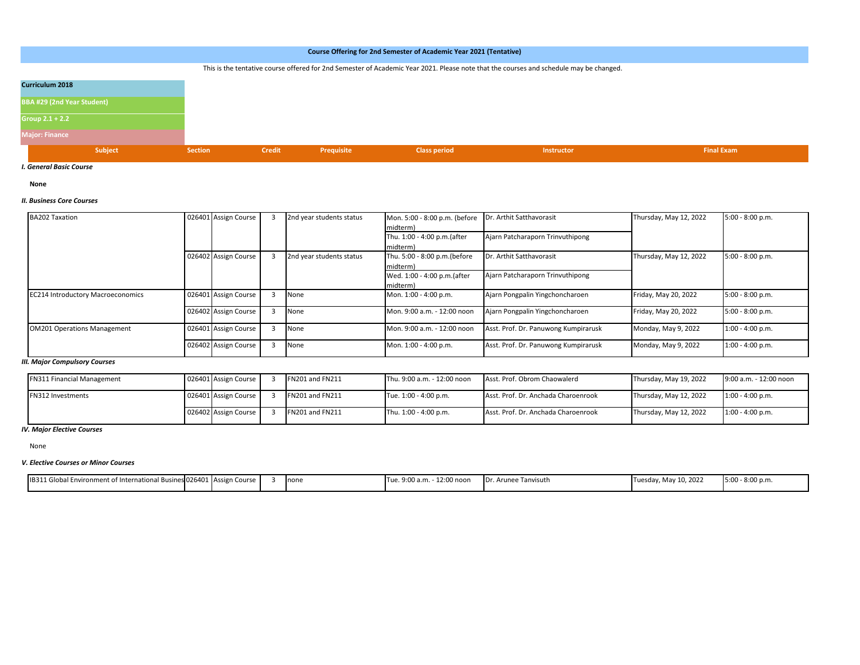|                                   |                |               |            | Course Offering for 2nd Semester of Academic Year 2021 (Tentative)                                                                     |                   |                   |
|-----------------------------------|----------------|---------------|------------|----------------------------------------------------------------------------------------------------------------------------------------|-------------------|-------------------|
|                                   |                |               |            | This is the tentative course offered for 2nd Semester of Academic Year 2021. Please note that the courses and schedule may be changed. |                   |                   |
|                                   |                |               |            |                                                                                                                                        |                   |                   |
| Curriculum 2018                   |                |               |            |                                                                                                                                        |                   |                   |
|                                   |                |               |            |                                                                                                                                        |                   |                   |
| <b>BBA #29 (2nd Year Student)</b> |                |               |            |                                                                                                                                        |                   |                   |
| Group $2.1 + 2.2$                 |                |               |            |                                                                                                                                        |                   |                   |
|                                   |                |               |            |                                                                                                                                        |                   |                   |
| <b>Major: Finance</b>             |                |               |            |                                                                                                                                        |                   |                   |
| Subject                           | <b>Section</b> | <b>Credit</b> | Prequisite | <b>Class period</b>                                                                                                                    | <b>Instructor</b> | <b>Final Exam</b> |
|                                   |                |               |            |                                                                                                                                        |                   |                   |

*I. General Basic Course*

**None**

## *II. Business Core Courses*

| <b>BA202 Taxation</b>                    | 026401 Assign Course | 2nd year students status | Mon. 5:00 - 8:00 p.m. (before<br>midterm) | Dr. Arthit Satthavorasit             | Thursday, May 12, 2022 | $5:00 - 8:00 p.m.$ |
|------------------------------------------|----------------------|--------------------------|-------------------------------------------|--------------------------------------|------------------------|--------------------|
|                                          |                      |                          | Thu. 1:00 - 4:00 p.m.(after<br>midterm)   | Ajarn Patcharaporn Trinvuthipong     |                        |                    |
|                                          | 026402 Assign Course | 2nd year students status | Thu. 5:00 - 8:00 p.m. (before<br>midterm) | Dr. Arthit Satthavorasit             | Thursday, May 12, 2022 | $5:00 - 8:00 p.m.$ |
|                                          |                      |                          | Wed. 1:00 - 4:00 p.m.(after<br>midterm)   | Ajarn Patcharaporn Trinvuthipong     |                        |                    |
| <b>EC214 Introductory Macroeconomics</b> | 026401 Assign Course | None                     | Mon. 1:00 - 4:00 p.m.                     | Ajarn Pongpalin Yingchoncharoen      | Friday, May 20, 2022   | $5:00 - 8:00 p.m.$ |
|                                          | 026402 Assign Course | None                     | Mon. 9:00 a.m. - 12:00 noon               | Ajarn Pongpalin Yingchoncharoen      | Friday, May 20, 2022   | $5:00 - 8:00 p.m.$ |
| <b>OM201 Operations Management</b>       | 026401 Assign Course | None                     | Mon. 9:00 a.m. - 12:00 noon               | Asst. Prof. Dr. Panuwong Kumpirarusk | Monday, May 9, 2022    | $1:00 - 4:00 p.m.$ |
|                                          | 026402 Assign Course | None                     | Mon. 1:00 - 4:00 p.m.                     | Asst. Prof. Dr. Panuwong Kumpirarusk | Monday, May 9, 2022    | $1:00 - 4:00 p.m.$ |

# *III. Major Compulsory Courses*

| <b>FN311 Financial Management</b> | 026401 Assign Course | <b>FN201 and FN211</b> | Thu. 9:00 a.m. - 12:00 noon | Asst. Prof. Obrom Chaowalerd        | Thursday, May 19, 2022 | 9:00 a.m. - 12:00 noon |
|-----------------------------------|----------------------|------------------------|-----------------------------|-------------------------------------|------------------------|------------------------|
| <b>FN312 Investments</b>          | 026401 Assign Course | <b>FN201 and FN211</b> | Tue. 1:00 - 4:00 p.m.       | Asst. Prof. Dr. Anchada Charoenrook | Thursday, May 12, 2022 | $1:00 - 4:00 p.m.$     |
|                                   | 026402 Assign Course | <b>FN201 and FN211</b> | Thu. 1:00 - 4:00 p.m.       | Asst. Prof. Dr. Anchada Charoenrook | Thursday, May 12, 2022 | $1:00 - 4:00 p.m.$     |

*IV. Major Elective Courses*

None

# *V. Elective Courses or Minor Courses*

| .nt of International Busines 026401 Assign Course<br><b>IB311 GK</b><br>` Environment |  | <b>Inone</b> | $ -$<br>$\sim$ 00<br>a∙nn<br>12:00 nooi<br>1.11111111111 | . Tanvisutl<br>.Dr. Arunee | May 10, 2022<br>ITuesday, | $-8:00$ p.m.<br>5:00 |
|---------------------------------------------------------------------------------------|--|--------------|----------------------------------------------------------|----------------------------|---------------------------|----------------------|